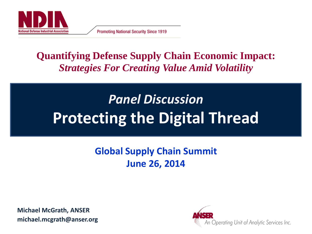

**Promoting National Security Since 1919** 

### **Quantifying Defense Supply Chain Economic Impact:** *Strategies For Creating Value Amid Volatility*

# *Panel Discussion* **Protecting the Digital Thread**

### **Global Supply Chain Summit June 26, 2014**

**Michael McGrath, ANSER michael.mcgrath@anser.org**

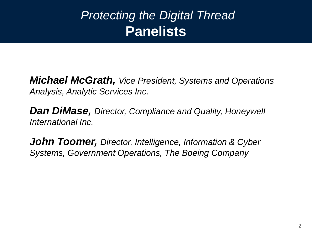### *Protecting the Digital Thread* **Panelists**

*Michael McGrath, Vice President, Systems and Operations Analysis, Analytic Services Inc.* 

*Dan DiMase, Director, Compliance and Quality, Honeywell International Inc.*

*John Toomer, Director, Intelligence, Information & Cyber Systems, Government Operations, The Boeing Company*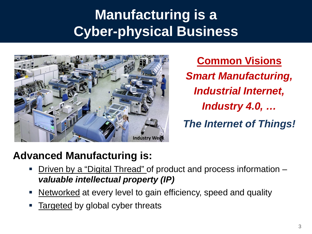## **Manufacturing is a Cyber-physical Business**



**Common Visions** *Smart Manufacturing, Industrial Internet, Industry 4.0, … The Internet of Things!*

### **Advanced Manufacturing is:**

- Driven by a "Digital Thread" of product and process information *valuable intellectual property (IP)*
- Networked at every level to gain efficiency, speed and quality
- Targeted by global cyber threats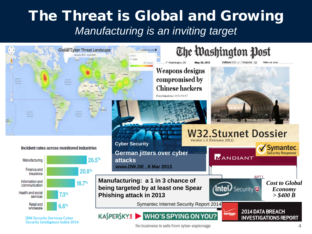### The Threat is Global and Growing *Manufacturing is an inviting target*



No business is safe from cyber-espionage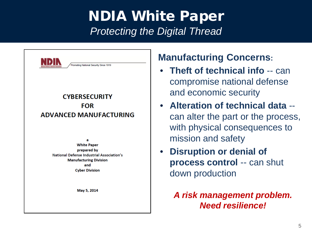### NDIA White Paper *Protecting the Digital Thread*



a **White Paper** prepared by **National Defense Industrial Association's Manufacturing Division** and **Cyber Division** 

May 5, 2014

#### **Manufacturing Concerns:**

- **Theft of technical info** -- can compromise national defense and economic security
- **Alteration of technical data**  can alter the part or the process, with physical consequences to mission and safety
- **Disruption or denial of process control** -- can shut down production

*A risk management problem. Need resilience!*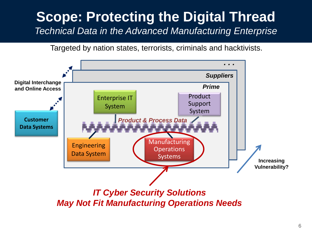### **Scope: Protecting the Digital Thread**  *Technical Data in the Advanced Manufacturing Enterprise*

Targeted by nation states, terrorists, criminals and hacktivists.

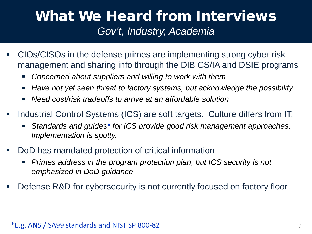### What We Heard from Interviews *Gov't, Industry, Academia*

- CIOs/CISOs in the defense primes are implementing strong cyber risk management and sharing info through the DIB CS/IA and DSIE programs
	- *Concerned about suppliers and willing to work with them*
	- *Have not yet seen threat to factory systems, but acknowledge the possibility*
	- *Need cost/risk tradeoffs to arrive at an affordable solution*
- **Industrial Control Systems (ICS) are soft targets. Culture differs from IT.** 
	- *Standards and guides\* for ICS provide good risk management approaches. Implementation is spotty.*
- DoD has mandated protection of critical information
	- *Primes address in the program protection plan, but ICS security is not emphasized in DoD guidance*
- Defense R&D for cybersecurity is not currently focused on factory floor

#### $*E.g. ANSI/ISA99 standards and NIST SP 800-82$   $7$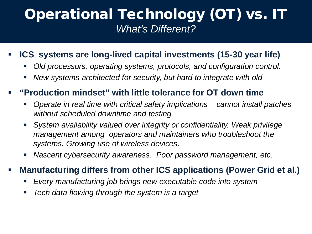### Operational Technology (OT) vs. IT *What's Different?*

#### **ICS systems are long-lived capital investments (15-30 year life)**

- *Old processors, operating systems, protocols, and configuration control.*
- *New systems architected for security, but hard to integrate with old*

#### **"Production mindset" with little tolerance for OT down time**

- *Operate in real time with critical safety implications – cannot install patches without scheduled downtime and testing*
- *System availability valued over integrity or confidentiality. Weak privilege management among operators and maintainers who troubleshoot the systems. Growing use of wireless devices.*
- *Nascent cybersecurity awareness. Poor password management, etc.*

#### **Manufacturing differs from other ICS applications (Power Grid et al.)**

- *Every manufacturing job brings new executable code into system*
- *Tech data flowing through the system is a target*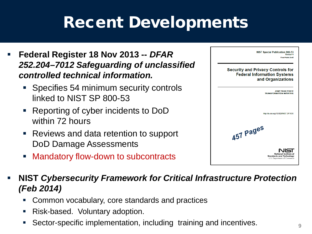# Recent Developments

- **Federal Register 18 Nov 2013 --** *DFAR 252.204–7012 Safeguarding of unclassified controlled technical information.*
	- Specifies 54 minimum security controls linked to NIST SP 800-53
	- Reporting of cyber incidents to DoD within 72 hours
	- Reviews and data retention to support DoD Damage Assessments
	- Mandatory flow-down to subcontracts

| <b>NIST Special Publication 800-53</b><br><b>Revision 4</b><br><b>Final Public Draft</b>            |
|-----------------------------------------------------------------------------------------------------|
| <b>Security and Privacy Controls for</b><br><b>Federal Information Systems</b><br>and Organizations |
| <b>JOINT TASK FORCE</b><br><b>TRANSFORMATION INITIATIVE</b>                                         |
| http://dx.doi.org/10.6028/NIST.SP.XXX                                                               |
| 457 Pages                                                                                           |
| National Institute of<br><b>Standards and Technology</b><br>U.S. Department of Commerce             |

#### **NIST** *Cybersecurity Framework for Critical Infrastructure Protection (Feb 2014)*

- Common vocabulary, core standards and practices
- Risk-based. Voluntary adoption.
- Sector-specific implementation, including training and incentives.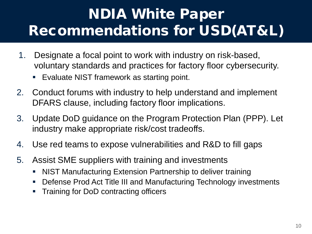## NDIA White Paper Recommendations for USD(AT&L)

- 1. Designate a focal point to work with industry on risk-based, voluntary standards and practices for factory floor cybersecurity.
	- **Evaluate NIST framework as starting point.**
- 2. Conduct forums with industry to help understand and implement DFARS clause, including factory floor implications.
- 3. Update DoD guidance on the Program Protection Plan (PPP). Let industry make appropriate risk/cost tradeoffs.
- 4. Use red teams to expose vulnerabilities and R&D to fill gaps
- 5. Assist SME suppliers with training and investments
	- NIST Manufacturing Extension Partnership to deliver training
	- Defense Prod Act Title III and Manufacturing Technology investments
	- Training for DoD contracting officers